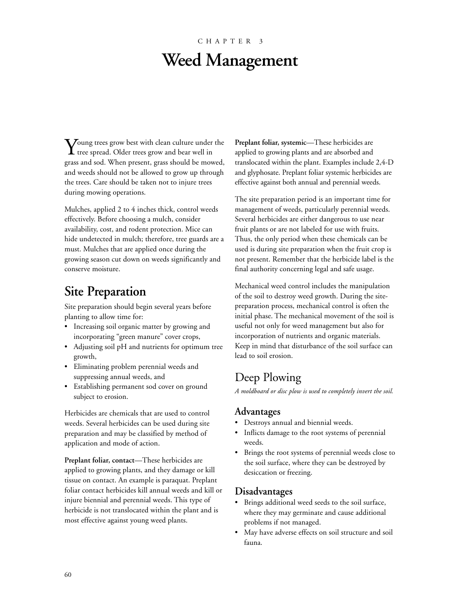# CHAPTER 3 **Weed Management**

 $\bf V$ oung trees grow best with clean culture under the  $\bf{1}$  tree spread. Older trees grow and bear well in grass and sod. When present, grass should be mowed, and weeds should not be allowed to grow up through the trees. Care should be taken not to injure trees during mowing operations.

Mulches, applied 2 to 4 inches thick, control weeds effectively. Before choosing a mulch, consider availability, cost, and rodent protection. Mice can hide undetected in mulch; therefore, tree guards are a must. Mulches that are applied once during the growing season cut down on weeds significantly and conserve moisture.

# **Site Preparation**

Site preparation should begin several years before planting to allow time for:

- Increasing soil organic matter by growing and incorporating "green manure" cover crops,
- Adjusting soil pH and nutrients for optimum tree growth,
- Eliminating problem perennial weeds and suppressing annual weeds, and
- Establishing permanent sod cover on ground subject to erosion.

Herbicides are chemicals that are used to control weeds. Several herbicides can be used during site preparation and may be classified by method of application and mode of action.

**Preplant foliar, contact**—These herbicides are applied to growing plants, and they damage or kill tissue on contact. An example is paraquat. Preplant foliar contact herbicides kill annual weeds and kill or injure biennial and perennial weeds. This type of herbicide is not translocated within the plant and is most effective against young weed plants.

Preplant foliar, systemic—These herbicides are applied to growing plants and are absorbed and translocated within the plant. Examples include 2,4-D and glyphosate. Preplant foliar systemic herbicides are effective against both annual and perennial weeds.

The site preparation period is an important time for management of weeds, particularly perennial weeds. Several herbicides are either dangerous to use near fruit plants or are not labeled for use with fruits. Thus, the only period when these chemicals can be used is during site preparation when the fruit crop is not present. Remember that the herbicide label is the final authority concerning legal and safe usage.

Mechanical weed control includes the manipulation of the soil to destroy weed growth. During the sitepreparation process, mechanical control is often the initial phase. The mechanical movement of the soil is useful not only for weed management but also for incorporation of nutrients and organic materials. Keep in mind that disturbance of the soil surface can lead to soil erosion.

# Deep Plowing

*A moldboard or disc plow is used to completely invert the soil.*

#### **Advantages**

- Destroys annual and biennial weeds.
- Inflicts damage to the root systems of perennial weeds.
- Brings the root systems of perennial weeds close to the soil surface, where they can be destroyed by desiccation or freezing.

### **Disadvantages**

- Brings additional weed seeds to the soil surface, where they may germinate and cause additional problems if not managed.
- May have adverse effects on soil structure and soil fauna.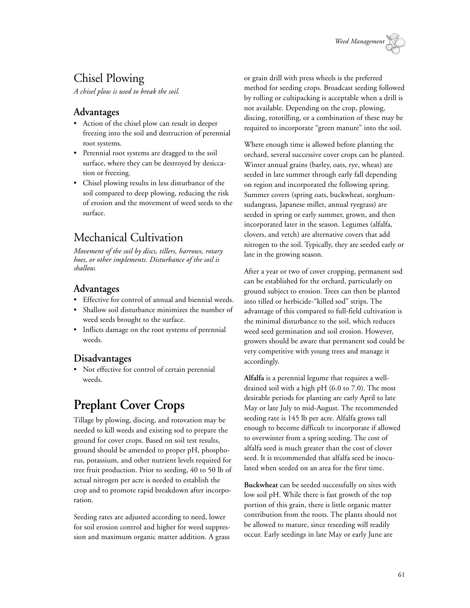

# Chisel Plowing

*A chisel plow is used to break the soil.*

#### **Advantages**

- Action of the chisel plow can result in deeper freezing into the soil and destruction of perennial root systems.
- Perennial root systems are dragged to the soil surface, where they can be destroyed by desiccation or freezing.
- Chisel plowing results in less disturbance of the soil compared to deep plowing, reducing the risk of erosion and the movement of weed seeds to the surface.

# Mechanical Cultivation

*Movement of the soil by discs, tillers, harrows, rotary hoes, or other implements. Disturbance of the soil is shallow.*

## **Advantages**

- Effective for control of annual and biennial weeds.
- Shallow soil disturbance minimizes the number of weed seeds brought to the surface.
- Inflicts damage on the root systems of perennial weeds.

## **Disadvantages**

• Not effective for control of certain perennial weeds.

# **Preplant Cover Crops**

Tillage by plowing, discing, and rotovation may be needed to kill weeds and existing sod to prepare the ground for cover crops. Based on soil test results, ground should be amended to proper pH, phosphorus, potassium, and other nutrient levels required for tree fruit production. Prior to seeding, 40 to 50 lb of actual nitrogen per acre is needed to establish the crop and to promote rapid breakdown after incorporation.

Seeding rates are adjusted according to need, lower for soil erosion control and higher for weed suppression and maximum organic matter addition. A grass or grain drill with press wheels is the preferred method for seeding crops. Broadcast seeding followed by rolling or cultipacking is acceptable when a drill is not available. Depending on the crop, plowing, discing, rototilling, or a combination of these may be required to incorporate "green manure" into the soil.

Where enough time is allowed before planting the orchard, several successive cover crops can be planted. Winter annual grains (barley, oats, rye, wheat) are seeded in late summer through early fall depending on region and incorporated the following spring. Summer covers (spring oats, buckwheat, sorghumsudangrass, Japanese millet, annual ryegrass) are seeded in spring or early summer, grown, and then incorporated later in the season. Legumes (alfalfa, clovers, and vetch) are alternative covers that add nitrogen to the soil. Typically, they are seeded early or late in the growing season.

After a year or two of cover cropping, permanent sod can be established for the orchard, particularly on ground subject to erosion. Trees can then be planted into tilled or herbicide-"killed sod" strips. The advantage of this compared to full-field cultivation is the minimal disturbance to the soil, which reduces weed seed germination and soil erosion. However, growers should be aware that permanent sod could be very competitive with young trees and manage it accordingly.

**Alfalfa** is a perennial legume that requires a welldrained soil with a high pH (6.0 to 7.0). The most desirable periods for planting are early April to late May or late July to mid-August. The recommended seeding rate is 145 lb per acre. Alfalfa grows tall enough to become difficult to incorporate if allowed to overwinter from a spring seeding. The cost of alfalfa seed is much greater than the cost of clover seed. It is recommended that alfalfa seed be inoculated when seeded on an area for the first time.

**Buckwheat** can be seeded successfully on sites with low soil pH. While there is fast growth of the top portion of this grain, there is little organic matter contribution from the roots. The plants should not be allowed to mature, since reseeding will readily occur. Early seedings in late May or early June are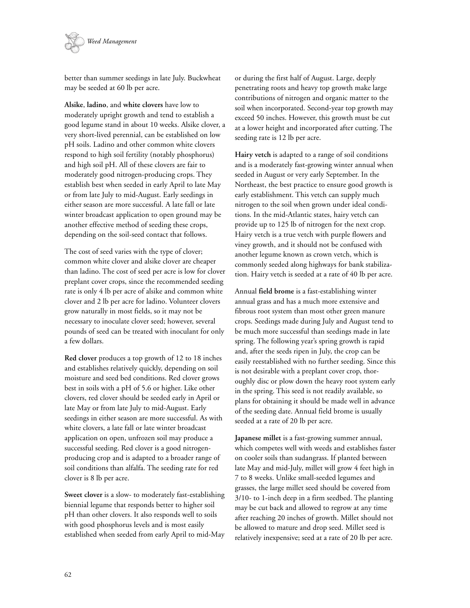

better than summer seedings in late July. Buckwheat may be seeded at 60 lb per acre.

**Alsike**, **ladino**, and **white clovers** have low to moderately upright growth and tend to establish a good legume stand in about 10 weeks. Alsike clover, a very short-lived perennial, can be established on low pH soils. Ladino and other common white clovers respond to high soil fertility (notably phosphorus) and high soil pH. All of these clovers are fair to moderately good nitrogen-producing crops. They establish best when seeded in early April to late May or from late July to mid-August. Early seedings in either season are more successful. A late fall or late winter broadcast application to open ground may be another effective method of seeding these crops, depending on the soil-seed contact that follows.

The cost of seed varies with the type of clover; common white clover and alsike clover are cheaper than ladino. The cost of seed per acre is low for clover preplant cover crops, since the recommended seeding rate is only 4 lb per acre of alsike and common white clover and 2 lb per acre for ladino. Volunteer clovers grow naturally in most fields, so it may not be necessary to inoculate clover seed; however, several pounds of seed can be treated with inoculant for only a few dollars.

**Red clover** produces a top growth of 12 to 18 inches and establishes relatively quickly, depending on soil moisture and seed bed conditions. Red clover grows best in soils with a pH of 5.6 or higher. Like other clovers, red clover should be seeded early in April or late May or from late July to mid-August. Early seedings in either season are more successful. As with white clovers, a late fall or late winter broadcast application on open, unfrozen soil may produce a successful seeding. Red clover is a good nitrogenproducing crop and is adapted to a broader range of soil conditions than alfalfa. The seeding rate for red clover is 8 lb per acre.

**Sweet clover** is a slow- to moderately fast-establishing biennial legume that responds better to higher soil pH than other clovers. It also responds well to soils with good phosphorus levels and is most easily established when seeded from early April to mid-May

or during the first half of August. Large, deeply penetrating roots and heavy top growth make large contributions of nitrogen and organic matter to the soil when incorporated. Second-year top growth may exceed 50 inches. However, this growth must be cut at a lower height and incorporated after cutting. The seeding rate is 12 lb per acre.

**Hairy vetch** is adapted to a range of soil conditions and is a moderately fast-growing winter annual when seeded in August or very early September. In the Northeast, the best practice to ensure good growth is early establishment. This vetch can supply much nitrogen to the soil when grown under ideal conditions. In the mid-Atlantic states, hairy vetch can provide up to 125 lb of nitrogen for the next crop. Hairy vetch is a true vetch with purple flowers and viney growth, and it should not be confused with another legume known as crown vetch, which is commonly seeded along highways for bank stabilization. Hairy vetch is seeded at a rate of 40 lb per acre.

Annual **field brome** is a fast-establishing winter annual grass and has a much more extensive and fibrous root system than most other green manure crops. Seedings made during July and August tend to be much more successful than seedings made in late spring. The following year's spring growth is rapid and, after the seeds ripen in July, the crop can be easily reestablished with no further seeding. Since this is not desirable with a preplant cover crop, thoroughly disc or plow down the heavy root system early in the spring. This seed is not readily available, so plans for obtaining it should be made well in advance of the seeding date. Annual field brome is usually seeded at a rate of 20 lb per acre.

**Japanese millet** is a fast-growing summer annual, which competes well with weeds and establishes faster on cooler soils than sudangrass. If planted between late May and mid-July, millet will grow 4 feet high in 7 to 8 weeks. Unlike small-seeded legumes and grasses, the large millet seed should be covered from 3/10- to 1-inch deep in a firm seedbed. The planting may be cut back and allowed to regrow at any time after reaching 20 inches of growth. Millet should not be allowed to mature and drop seed. Millet seed is relatively inexpensive; seed at a rate of 20 lb per acre.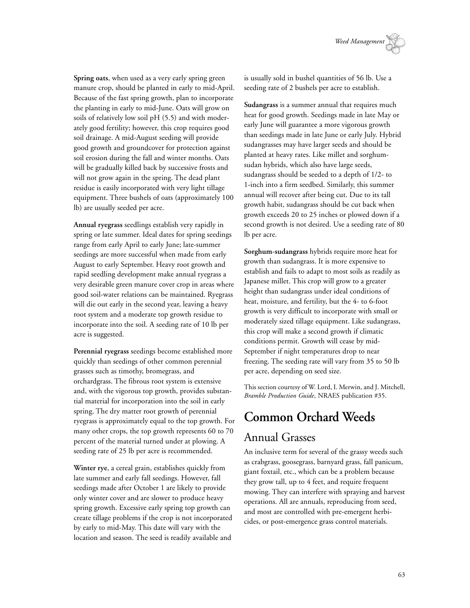**Spring oats**, when used as a very early spring green manure crop, should be planted in early to mid-April. Because of the fast spring growth, plan to incorporate the planting in early to mid-June. Oats will grow on soils of relatively low soil pH (5.5) and with moderately good fertility; however, this crop requires good soil drainage. A mid-August seeding will provide good growth and groundcover for protection against soil erosion during the fall and winter months. Oats will be gradually killed back by successive frosts and will not grow again in the spring. The dead plant residue is easily incorporated with very light tillage equipment. Three bushels of oats (approximately 100 lb) are usually seeded per acre.

**Annual ryegrass** seedlings establish very rapidly in spring or late summer. Ideal dates for spring seedings range from early April to early June; late-summer seedings are more successful when made from early August to early September. Heavy root growth and rapid seedling development make annual ryegrass a very desirable green manure cover crop in areas where good soil-water relations can be maintained. Ryegrass will die out early in the second year, leaving a heavy root system and a moderate top growth residue to incorporate into the soil. A seeding rate of 10 lb per acre is suggested.

**Perennial ryegrass** seedings become established more quickly than seedings of other common perennial grasses such as timothy, bromegrass, and orchardgrass. The fibrous root system is extensive and, with the vigorous top growth, provides substantial material for incorporation into the soil in early spring. The dry matter root growth of perennial ryegrass is approximately equal to the top growth. For many other crops, the top growth represents 60 to 70 percent of the material turned under at plowing. A seeding rate of 25 lb per acre is recommended.

**Winter rye**, a cereal grain, establishes quickly from late summer and early fall seedings. However, fall seedings made after October 1 are likely to provide only winter cover and are slower to produce heavy spring growth. Excessive early spring top growth can create tillage problems if the crop is not incorporated by early to mid-May. This date will vary with the location and season. The seed is readily available and

is usually sold in bushel quantities of 56 lb. Use a seeding rate of 2 bushels per acre to establish.

**Sudangrass** is a summer annual that requires much heat for good growth. Seedings made in late May or early June will guarantee a more vigorous growth than seedings made in late June or early July. Hybrid sudangrasses may have larger seeds and should be planted at heavy rates. Like millet and sorghumsudan hybrids, which also have large seeds, sudangrass should be seeded to a depth of 1/2- to 1-inch into a firm seedbed. Similarly, this summer annual will recover after being cut. Due to its tall growth habit, sudangrass should be cut back when growth exceeds 20 to 25 inches or plowed down if a second growth is not desired. Use a seeding rate of 80 lb per acre.

**Sorghum-sudangrass** hybrids require more heat for growth than sudangrass. It is more expensive to establish and fails to adapt to most soils as readily as Japanese millet. This crop will grow to a greater height than sudangrass under ideal conditions of heat, moisture, and fertility, but the 4- to 6-foot growth is very difficult to incorporate with small or moderately sized tillage equipment. Like sudangrass, this crop will make a second growth if climatic conditions permit. Growth will cease by mid-September if night temperatures drop to near freezing. The seeding rate will vary from 35 to 50 lb per acre, depending on seed size.

This section courtesy of W. Lord, I. Merwin, and J. Mitchell, *Bramble Production Guide*, NRAES publication #35.

# **Common Orchard Weeds** Annual Grasses

An inclusive term for several of the grassy weeds such as crabgrass, goosegrass, barnyard grass, fall panicum, giant foxtail, etc., which can be a problem because they grow tall, up to 4 feet, and require frequent mowing. They can interfere with spraying and harvest operations. All are annuals, reproducing from seed, and most are controlled with pre-emergent herbicides, or post-emergence grass control materials.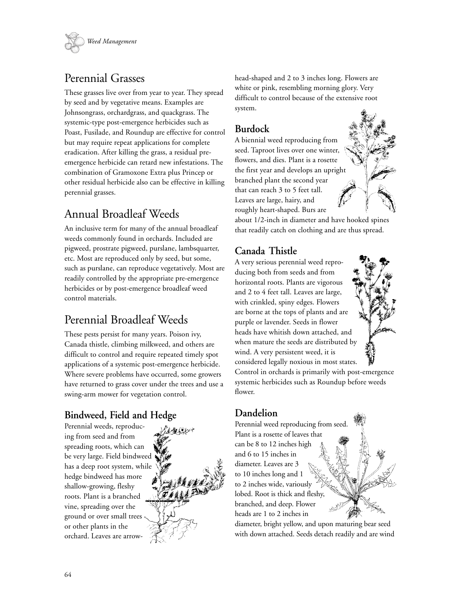

# Perennial Grasses

These grasses live over from year to year. They spread by seed and by vegetative means. Examples are Johnsongrass, orchardgrass, and quackgrass. The systemic-type post-emergence herbicides such as Poast, Fusilade, and Roundup are effective for control but may require repeat applications for complete eradication. After killing the grass, a residual preemergence herbicide can retard new infestations. The combination of Gramoxone Extra plus Princep or other residual herbicide also can be effective in killing perennial grasses.

# Annual Broadleaf Weeds

An inclusive term for many of the annual broadleaf weeds commonly found in orchards. Included are pigweed, prostrate pigweed, purslane, lambsquarter, etc. Most are reproduced only by seed, but some, such as purslane, can reproduce vegetatively. Most are readily controlled by the appropriate pre-emergence herbicides or by post-emergence broadleaf weed control materials.

# Perennial Broadleaf Weeds

These pests persist for many years. Poison ivy, Canada thistle, climbing milkweed, and others are difficult to control and require repeated timely spot applications of a systemic post-emergence herbicide. Where severe problems have occurred, some growers have returned to grass cover under the trees and use a swing-arm mower for vegetation control.

# **Bindweed, Field and Hedge**

Perennial weeds, reproducing from seed and from spreading roots, which can be very large. Field bindweed has a deep root system, while hedge bindweed has more shallow-growing, fleshy roots. Plant is a branched vine, spreading over the ground or over small trees or other plants in the orchard. Leaves are arrow-



head-shaped and 2 to 3 inches long. Flowers are white or pink, resembling morning glory. Very difficult to control because of the extensive root system.

## **Burdock**

A biennial weed reproducing from seed. Taproot lives over one winter, flowers, and dies. Plant is a rosette the first year and develops an upright branched plant the second year that can reach 3 to 5 feet tall. Leaves are large, hairy, and roughly heart-shaped. Burs are



about 1/2-inch in diameter and have hooked spines that readily catch on clothing and are thus spread.

## **Canada Thistle**

A very serious perennial weed reproducing both from seeds and from horizontal roots. Plants are vigorous and 2 to 4 feet tall. Leaves are large, with crinkled, spiny edges. Flowers are borne at the tops of plants and are purple or lavender. Seeds in flower heads have whitish down attached, and when mature the seeds are distributed by wind. A very persistent weed, it is considered legally noxious in most states.



Control in orchards is primarily with post-emergence systemic herbicides such as Roundup before weeds flower.

### **Dandelion**

Perennial weed reproducing from seed. Plant is a rosette of leaves that can be 8 to 12 inches high and 6 to 15 inches in diameter. Leaves are 3 to 10 inches long and 1 to 2 inches wide, variously lobed. Root is thick and fleshy, branched, and deep. Flower heads are 1 to 2 inches in

diameter, bright yellow, and upon maturing bear seed with down attached. Seeds detach readily and are wind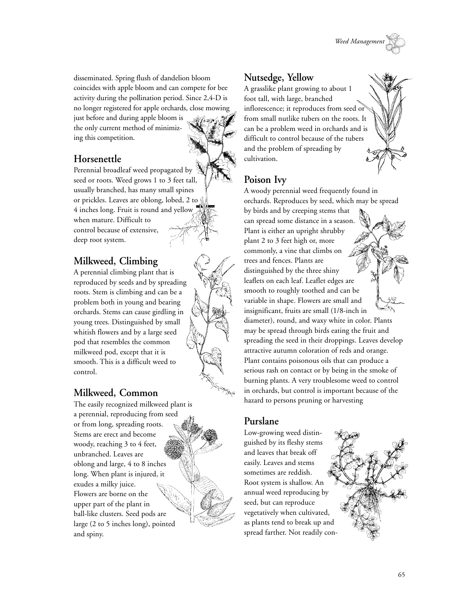

disseminated. Spring flush of dandelion bloom coincides with apple bloom and can compete for bee activity during the pollination period. Since 2,4-D is no longer registered for apple orchards, close mowing

just before and during apple bloom is the only current method of minimizing this competition.

# **Horsenettle**

Perennial broadleaf weed propagated by seed or roots. Weed grows 1 to 3 feet tall, usually branched, has many small spines or prickles. Leaves are oblong, lobed, 2 to 4 inches long. Fruit is round and yellow when mature. Difficult to control because of extensive, deep root system.

# **Milkweed, Climbing**

A perennial climbing plant that is reproduced by seeds and by spreading roots. Stem is climbing and can be a problem both in young and bearing orchards. Stems can cause girdling in young trees. Distinguished by small whitish flowers and by a large seed pod that resembles the common milkweed pod, except that it is smooth. This is a difficult weed to control.

# **Milkweed, Common**

The easily recognized milkweed plant is a perennial, reproducing from seed or from long, spreading roots. Stems are erect and become woody, reaching 3 to 4 feet, unbranched. Leaves are oblong and large, 4 to 8 inches long. When plant is injured, it exudes a milky juice. Flowers are borne on the upper part of the plant in ball-like clusters. Seed pods are large (2 to 5 inches long), pointed and spiny.

## **Nutsedge, Yellow**

A grasslike plant growing to about 1 foot tall, with large, branched inflorescence; it reproduces from seed or from small nutlike tubers on the roots. It can be a problem weed in orchards and is difficult to control because of the tubers and the problem of spreading by cultivation.

## **Poison Ivy**

A woody perennial weed frequently found in orchards. Reproduces by seed, which may be spread by birds and by creeping stems that can spread some distance in a season. Plant is either an upright shrubby plant 2 to 3 feet high or, more commonly, a vine that climbs on trees and fences. Plants are distinguished by the three shiny leaflets on each leaf. Leaflet edges are smooth to roughly toothed and can be variable in shape. Flowers are small and insignificant, fruits are small (1/8-inch in diameter), round, and waxy white in color. Plants may be spread through birds eating the fruit and spreading the seed in their droppings. Leaves develop attractive autumn coloration of reds and orange. Plant contains poisonous oils that can produce a serious rash on contact or by being in the smoke of burning plants. A very troublesome weed to control in orchards, but control is important because of the hazard to persons pruning or harvesting

### **Purslane**

Low-growing weed distinguished by its fleshy stems and leaves that break off easily. Leaves and stems sometimes are reddish. Root system is shallow. An annual weed reproducing by seed, but can reproduce vegetatively when cultivated, as plants tend to break up and spread farther. Not readily con-